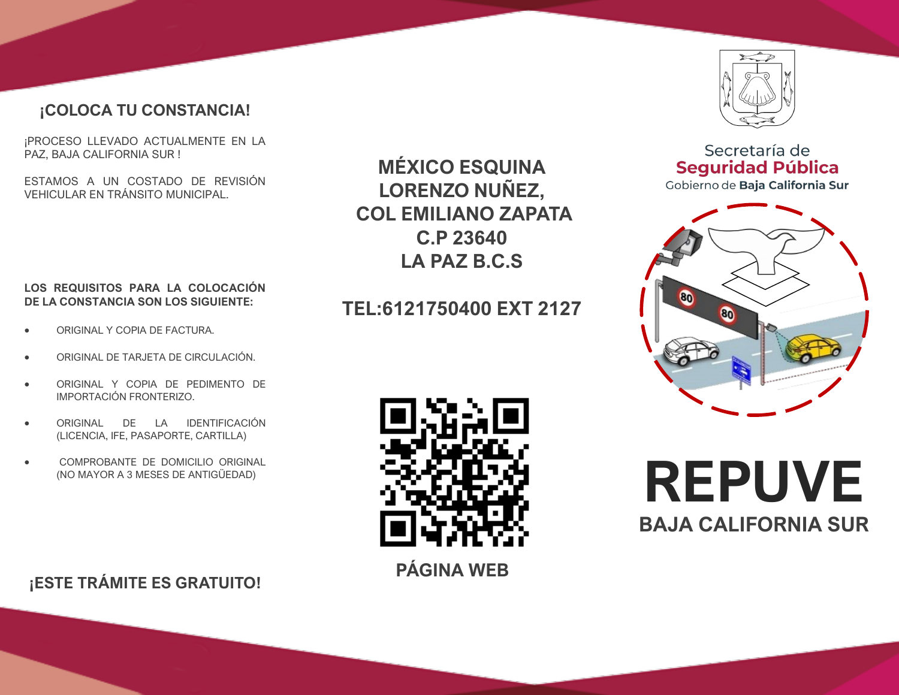## **¡COLOCA TU CONSTANCIA!**

¡PROCESO LLEVADO ACTUALMENTE EN LA PAZ, BAJA CALIFORNIA SUR !

ESTAMOS A UN COSTADO DE REVISIÓN VEHICULAR EN TRÁNSITO MUNICIPAL.

**LOS REQUISITOS PARA LA COLOCACIÓN DE LA CONSTANCIA SON LOS SIGUIENTE:**

- ORIGINAL Y COPIA DE FACTURA.
- ORIGINAL DE TARJETA DE CIRCULACIÓN.
- ORIGINAL Y COPIA DE PEDIMENTO DE IMPORTACIÓN FRONTERIZO.
- ORIGINAL DE LA IDENTIFICACIÓN (LICENCIA, IFE, PASAPORTE, CARTILLA)
- COMPROBANTE DE DOMICILIO ORIGINAL (NO MAYOR A 3 MESES DE ANTIGÜEDAD)

**¡ESTE TRÁMITE ES GRATUITO!**

**MÉXICO ESQUINA LORENZO NUÑEZ, COL EMILIANO ZAPATA C.P 23640 LA PAZ B.C.S**

# **TEL:6121750400 EXT 2127**



**PÁGINA WEB**



Secretaría de **Seguridad Pública** Gobierno de Baja California Sur



**REPUVE BAJA CALIFORNIA SUR**